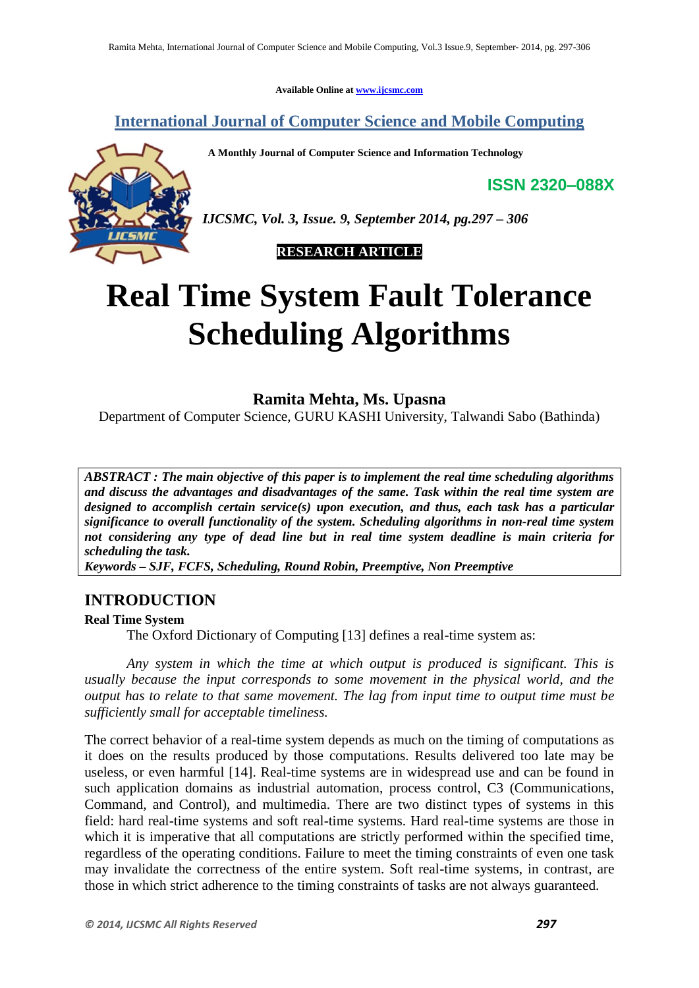**Available Online at www.ijcsmc.com**

**International Journal of Computer Science and Mobile Computing**

 **A Monthly Journal of Computer Science and Information Technology**

**ISSN 2320–088X**



*IJCSMC, Vol. 3, Issue. 9, September 2014, pg.297 – 306*

 **RESEARCH ARTICLE**

# **Real Time System Fault Tolerance Scheduling Algorithms**

**Ramita Mehta, Ms. Upasna**

Department of Computer Science, GURU KASHI University, Talwandi Sabo (Bathinda)

*ABSTRACT : The main objective of this paper is to implement the real time scheduling algorithms and discuss the advantages and disadvantages of the same. Task within the real time system are designed to accomplish certain service(s) upon execution, and thus, each task has a particular significance to overall functionality of the system. Scheduling algorithms in non-real time system not considering any type of dead line but in real time system deadline is main criteria for scheduling the task.*

*Keywords – SJF, FCFS, Scheduling, Round Robin, Preemptive, Non Preemptive*

#### **INTRODUCTION**

#### **Real Time System**

The Oxford Dictionary of Computing [13] defines a real-time system as:

*Any system in which the time at which output is produced is significant. This is usually because the input corresponds to some movement in the physical world, and the output has to relate to that same movement. The lag from input time to output time must be sufficiently small for acceptable timeliness.* 

The correct behavior of a real-time system depends as much on the timing of computations as it does on the results produced by those computations. Results delivered too late may be useless, or even harmful [14]. Real-time systems are in widespread use and can be found in such application domains as industrial automation, process control, C3 (Communications, Command, and Control), and multimedia. There are two distinct types of systems in this field: hard real-time systems and soft real-time systems. Hard real-time systems are those in which it is imperative that all computations are strictly performed within the specified time, regardless of the operating conditions. Failure to meet the timing constraints of even one task may invalidate the correctness of the entire system. Soft real-time systems, in contrast, are those in which strict adherence to the timing constraints of tasks are not always guaranteed.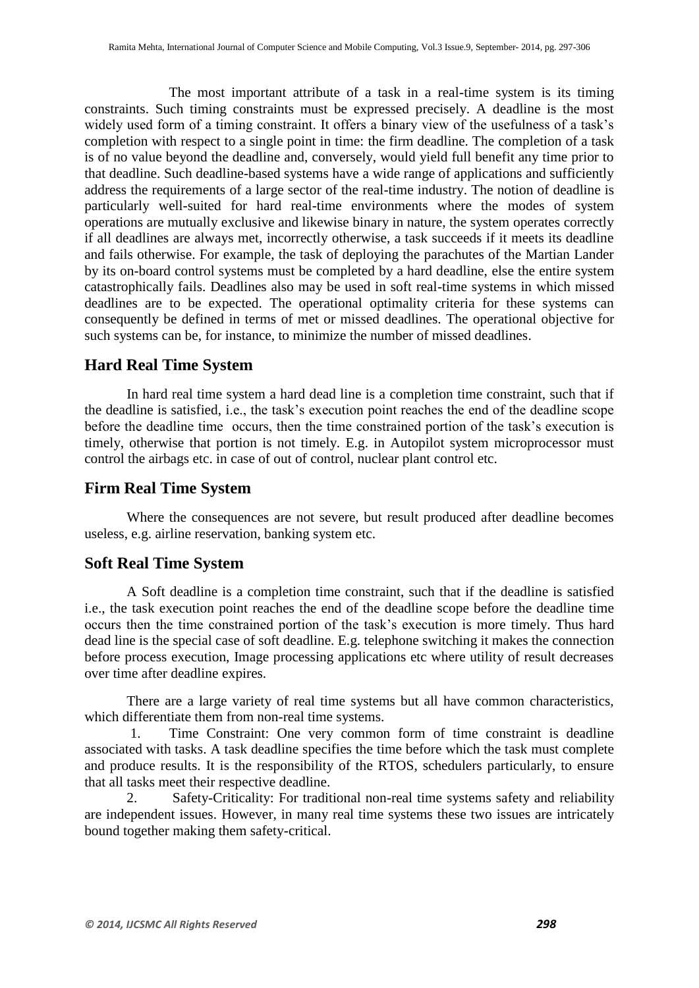The most important attribute of a task in a real-time system is its timing constraints. Such timing constraints must be expressed precisely. A deadline is the most widely used form of a timing constraint. It offers a binary view of the usefulness of a task's completion with respect to a single point in time: the firm deadline. The completion of a task is of no value beyond the deadline and, conversely, would yield full benefit any time prior to that deadline. Such deadline-based systems have a wide range of applications and sufficiently address the requirements of a large sector of the real-time industry. The notion of deadline is particularly well-suited for hard real-time environments where the modes of system operations are mutually exclusive and likewise binary in nature, the system operates correctly if all deadlines are always met, incorrectly otherwise, a task succeeds if it meets its deadline and fails otherwise. For example, the task of deploying the parachutes of the Martian Lander by its on-board control systems must be completed by a hard deadline, else the entire system catastrophically fails. Deadlines also may be used in soft real-time systems in which missed deadlines are to be expected. The operational optimality criteria for these systems can consequently be defined in terms of met or missed deadlines. The operational objective for such systems can be, for instance, to minimize the number of missed deadlines.

## **Hard Real Time System**

In hard real time system a hard dead line is a completion time constraint, such that if the deadline is satisfied, i.e., the task's execution point reaches the end of the deadline scope before the deadline time occurs, then the time constrained portion of the task's execution is timely, otherwise that portion is not timely. E.g. in Autopilot system microprocessor must control the airbags etc. in case of out of control, nuclear plant control etc.

## **Firm Real Time System**

Where the consequences are not severe, but result produced after deadline becomes useless, e.g. airline reservation, banking system etc.

## **Soft Real Time System**

A Soft deadline is a completion time constraint, such that if the deadline is satisfied i.e., the task execution point reaches the end of the deadline scope before the deadline time occurs then the time constrained portion of the task's execution is more timely. Thus hard dead line is the special case of soft deadline. E.g. telephone switching it makes the connection before process execution, Image processing applications etc where utility of result decreases over time after deadline expires.

There are a large variety of real time systems but all have common characteristics, which differentiate them from non-real time systems.

1. Time Constraint: One very common form of time constraint is deadline associated with tasks. A task deadline specifies the time before which the task must complete and produce results. It is the responsibility of the RTOS, schedulers particularly, to ensure that all tasks meet their respective deadline.

2. Safety-Criticality: For traditional non-real time systems safety and reliability are independent issues. However, in many real time systems these two issues are intricately bound together making them safety-critical.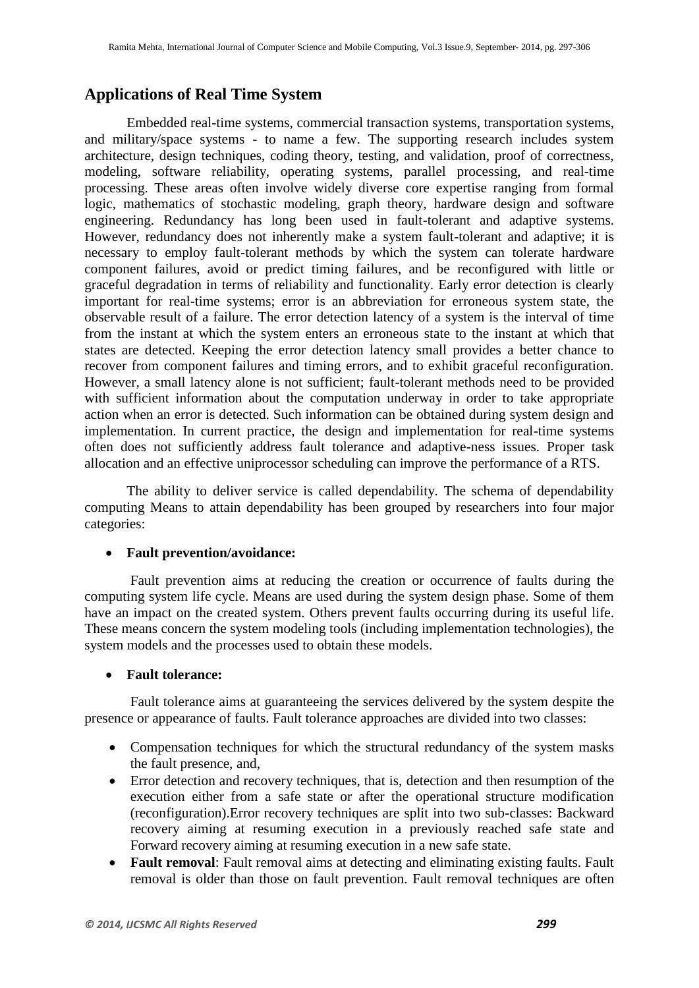## **Applications of Real Time System**

Embedded real-time systems, commercial transaction systems, transportation systems, and military/space systems - to name a few. The supporting research includes system architecture, design techniques, coding theory, testing, and validation, proof of correctness, modeling, software reliability, operating systems, parallel processing, and real-time processing. These areas often involve widely diverse core expertise ranging from formal logic, mathematics of stochastic modeling, graph theory, hardware design and software engineering. Redundancy has long been used in fault-tolerant and adaptive systems. However, redundancy does not inherently make a system fault-tolerant and adaptive; it is necessary to employ fault-tolerant methods by which the system can tolerate hardware component failures, avoid or predict timing failures, and be reconfigured with little or graceful degradation in terms of reliability and functionality. Early error detection is clearly important for real-time systems; error is an abbreviation for erroneous system state, the observable result of a failure. The error detection latency of a system is the interval of time from the instant at which the system enters an erroneous state to the instant at which that states are detected. Keeping the error detection latency small provides a better chance to recover from component failures and timing errors, and to exhibit graceful reconfiguration. However, a small latency alone is not sufficient; fault-tolerant methods need to be provided with sufficient information about the computation underway in order to take appropriate action when an error is detected. Such information can be obtained during system design and implementation. In current practice, the design and implementation for real-time systems often does not sufficiently address fault tolerance and adaptive-ness issues. Proper task allocation and an effective uniprocessor scheduling can improve the performance of a RTS.

The ability to deliver service is called dependability. The schema of dependability computing Means to attain dependability has been grouped by researchers into four major categories:

#### **Fault prevention/avoidance:**

Fault prevention aims at reducing the creation or occurrence of faults during the computing system life cycle. Means are used during the system design phase. Some of them have an impact on the created system. Others prevent faults occurring during its useful life. These means concern the system modeling tools (including implementation technologies), the system models and the processes used to obtain these models.

#### **Fault tolerance:**

Fault tolerance aims at guaranteeing the services delivered by the system despite the presence or appearance of faults. Fault tolerance approaches are divided into two classes:

- Compensation techniques for which the structural redundancy of the system masks the fault presence, and,
- Error detection and recovery techniques, that is, detection and then resumption of the execution either from a safe state or after the operational structure modification (reconfiguration).Error recovery techniques are split into two sub-classes: Backward recovery aiming at resuming execution in a previously reached safe state and Forward recovery aiming at resuming execution in a new safe state.
- **Fault removal**: Fault removal aims at detecting and eliminating existing faults. Fault removal is older than those on fault prevention. Fault removal techniques are often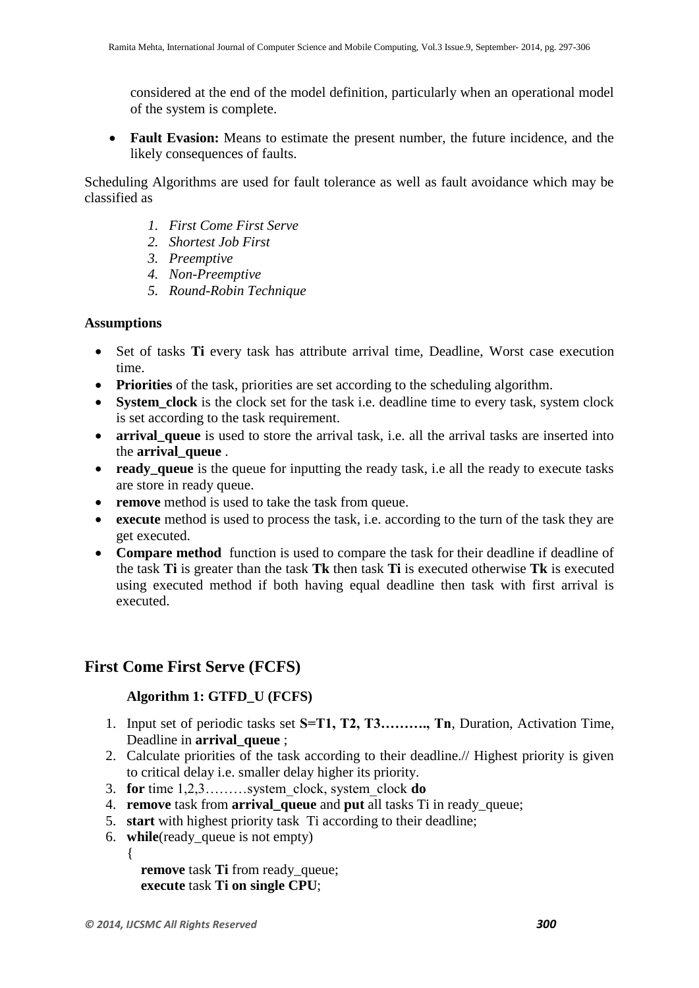considered at the end of the model definition, particularly when an operational model of the system is complete.

 **Fault Evasion:** Means to estimate the present number, the future incidence, and the likely consequences of faults.

Scheduling Algorithms are used for fault tolerance as well as fault avoidance which may be classified as

- *1. First Come First Serve*
- *2. Shortest Job First*
- *3. Preemptive*
- *4. Non-Preemptive*
- *5. Round-Robin Technique*

#### **Assumptions**

- Set of tasks **Ti** every task has attribute arrival time, Deadline, Worst case execution time.
- **Priorities** of the task, priorities are set according to the scheduling algorithm.
- **System\_clock** is the clock set for the task i.e. deadline time to every task, system clock is set according to the task requirement.
- **arrival queue** is used to store the arrival task, i.e. all the arrival tasks are inserted into the **arrival\_queue** .
- **ready** queue is the queue for inputting the ready task, i.e all the ready to execute tasks are store in ready queue.
- **remove** method is used to take the task from queue.
- **execute** method is used to process the task, i.e. according to the turn of the task they are get executed.
- **Compare method** function is used to compare the task for their deadline if deadline of the task **Ti** is greater than the task **Tk** then task **Ti** is executed otherwise **Tk** is executed using executed method if both having equal deadline then task with first arrival is executed.

## **First Come First Serve (FCFS)**

#### **Algorithm 1: GTFD\_U (FCFS)**

- 1. Input set of periodic tasks set **S=T1, T2, T3………., Tn**, Duration, Activation Time, Deadline in **arrival** queue ;
- 2. Calculate priorities of the task according to their deadline.// Highest priority is given to critical delay i.e. smaller delay higher its priority.
- 3. **for** time 1,2,3………system\_clock, system\_clock **do**
- 4. **remove** task from **arrival\_queue** and **put** all tasks Ti in ready\_queue;
- 5. **start** with highest priority task Ti according to their deadline;
- 6. **while**(ready\_queue is not empty)

 **remove** task **Ti** from ready\_queue; **execute** task **Ti on single CPU**;

{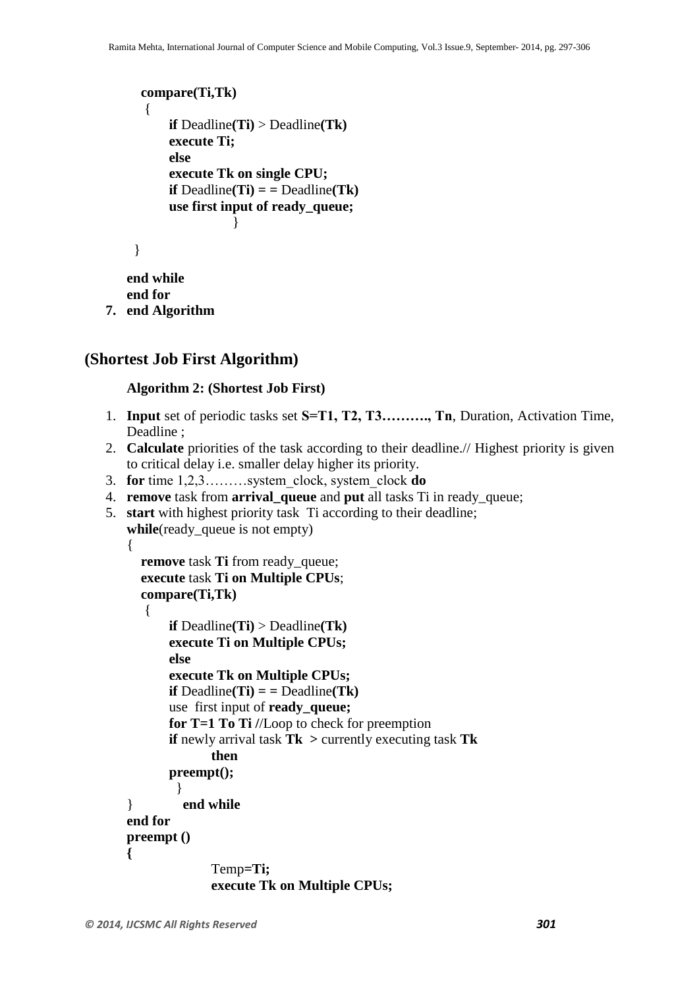```
 compare(Ti,Tk)
          {
             if Deadline(Ti) > Deadline(Tk) 
              execute Ti;
             else 
             execute Tk on single CPU;
             if \text{Deadline}(T_i) = \text{Deadline}(Tk)use first input of ready_queue;
       }
 }
      end while
```
**end for**

**7. end Algorithm**

#### **(Shortest Job First Algorithm)**

#### **Algorithm 2: (Shortest Job First)**

- 1. **Input** set of periodic tasks set **S=T1, T2, T3………., Tn**, Duration, Activation Time, Deadline ;
- 2. **Calculate** priorities of the task according to their deadline.// Highest priority is given to critical delay i.e. smaller delay higher its priority.
- 3. **for** time 1,2,3………system\_clock, system\_clock **do**
- 4. **remove** task from **arrival\_queue** and **put** all tasks Ti in ready\_queue;
- 5. **start** with highest priority task Ti according to their deadline; **while**(ready\_queue is not empty)

```
{
   remove task Ti from ready_queue;
   execute task Ti on Multiple CPUs; 
   compare(Ti,Tk)
   {
```

```
if Deadline(Ti) > Deadline(Tk) 
       execute Ti on Multiple CPUs;
      else 
      execute Tk on Multiple CPUs;
      if Deadline(Ti) = Deadline(Tk)use first input of ready_queue;
      for T=1 To Ti //Loop to check for preemption
      if newly arrival task Tk > currently executing task Tk
             then
      preempt();
         }
} end while
end for
preempt () 
{
             Temp=Ti;
             execute Tk on Multiple CPUs;
```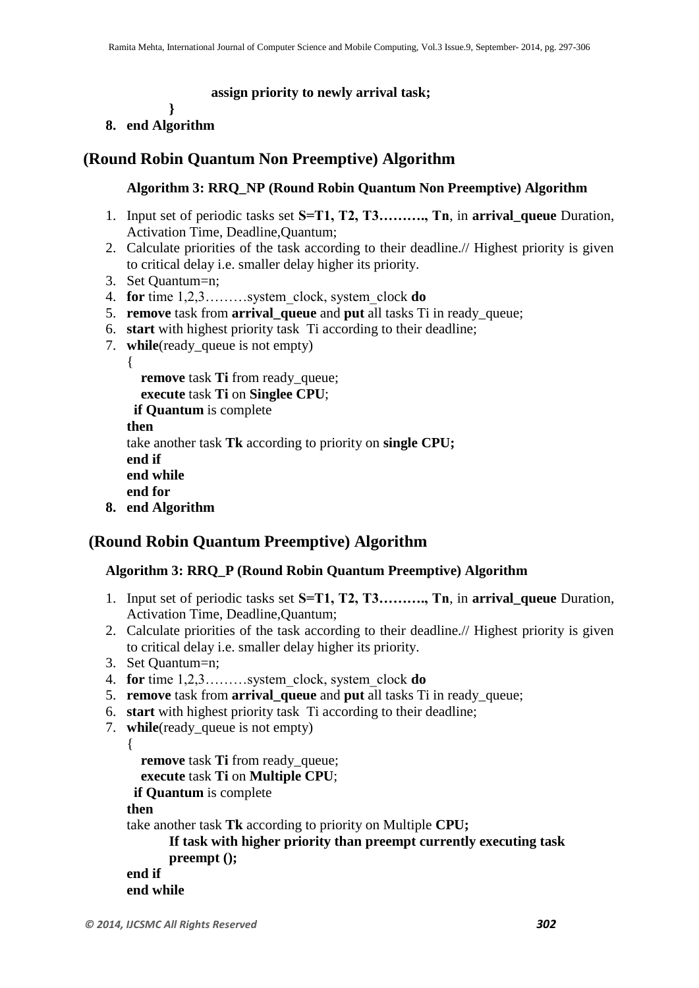#### **assign priority to newly arrival task;**

**}** 

#### **8. end Algorithm**

## **(Round Robin Quantum Non Preemptive) Algorithm**

#### **Algorithm 3: RRQ\_NP (Round Robin Quantum Non Preemptive) Algorithm**

- 1. Input set of periodic tasks set **S=T1, T2, T3………., Tn**, in **arrival\_queue** Duration, Activation Time, Deadline,Quantum;
- 2. Calculate priorities of the task according to their deadline.// Highest priority is given to critical delay i.e. smaller delay higher its priority.
- 3. Set Quantum=n;
- 4. **for** time 1,2,3………system\_clock, system\_clock **do**
- 5. **remove** task from **arrival\_queue** and **put** all tasks Ti in ready\_queue;
- 6. **start** with highest priority task Ti according to their deadline;
- 7. **while**(ready\_queue is not empty)

{ **remove** task **Ti** from ready\_queue; **execute** task **Ti** on **Singlee CPU**;  **if Quantum** is complete

```
then 
take another task Tk according to priority on single CPU;
end if
end while
```
**end for**

```
8. end Algorithm
```
## **(Round Robin Quantum Preemptive) Algorithm**

#### **Algorithm 3: RRQ\_P (Round Robin Quantum Preemptive) Algorithm**

- 1. Input set of periodic tasks set **S=T1, T2, T3………., Tn**, in **arrival\_queue** Duration, Activation Time, Deadline,Quantum;
- 2. Calculate priorities of the task according to their deadline.// Highest priority is given to critical delay i.e. smaller delay higher its priority.
- 3. Set Quantum=n;
- 4. **for** time 1,2,3………system\_clock, system\_clock **do**
- 5. **remove** task from **arrival\_queue** and **put** all tasks Ti in ready\_queue;
- 6. **start** with highest priority task Ti according to their deadline;
- 7. **while**(ready\_queue is not empty)

{

**remove** task **Ti** from ready\_queue;

**execute** task **Ti** on **Multiple CPU**;

 **if Quantum** is complete

**then** 

take another task **Tk** according to priority on Multiple **CPU;**

```
If task with higher priority than preempt currently executing task 
preempt ();
```

```
end if
end while
```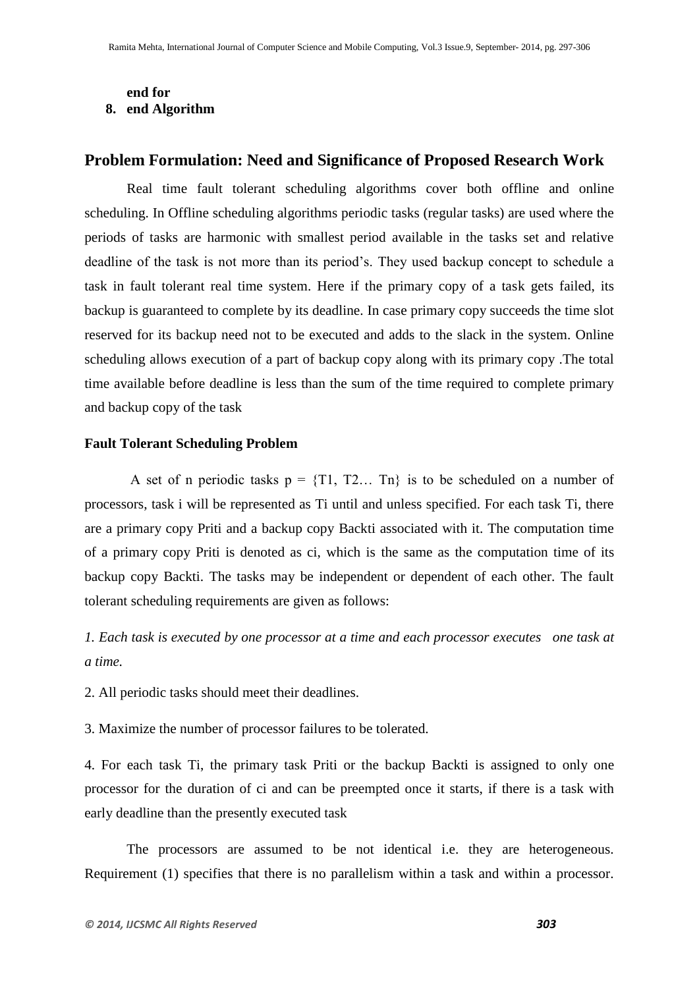## **end for**

## **8. end Algorithm**

## **Problem Formulation: Need and Significance of Proposed Research Work**

Real time fault tolerant scheduling algorithms cover both offline and online scheduling. In Offline scheduling algorithms periodic tasks (regular tasks) are used where the periods of tasks are harmonic with smallest period available in the tasks set and relative deadline of the task is not more than its period's. They used backup concept to schedule a task in fault tolerant real time system. Here if the primary copy of a task gets failed, its backup is guaranteed to complete by its deadline. In case primary copy succeeds the time slot reserved for its backup need not to be executed and adds to the slack in the system. Online scheduling allows execution of a part of backup copy along with its primary copy .The total time available before deadline is less than the sum of the time required to complete primary and backup copy of the task

#### **Fault Tolerant Scheduling Problem**

A set of n periodic tasks  $p = \{T1, T2... \text{ } Tn\}$  is to be scheduled on a number of processors, task i will be represented as Ti until and unless specified. For each task Ti, there are a primary copy Priti and a backup copy Backti associated with it. The computation time of a primary copy Priti is denoted as ci, which is the same as the computation time of its backup copy Backti. The tasks may be independent or dependent of each other. The fault tolerant scheduling requirements are given as follows:

*1. Each task is executed by one processor at a time and each processor executes one task at a time.*

2. All periodic tasks should meet their deadlines.

3. Maximize the number of processor failures to be tolerated.

4. For each task Ti, the primary task Priti or the backup Backti is assigned to only one processor for the duration of ci and can be preempted once it starts, if there is a task with early deadline than the presently executed task

The processors are assumed to be not identical i.e. they are heterogeneous. Requirement (1) specifies that there is no parallelism within a task and within a processor.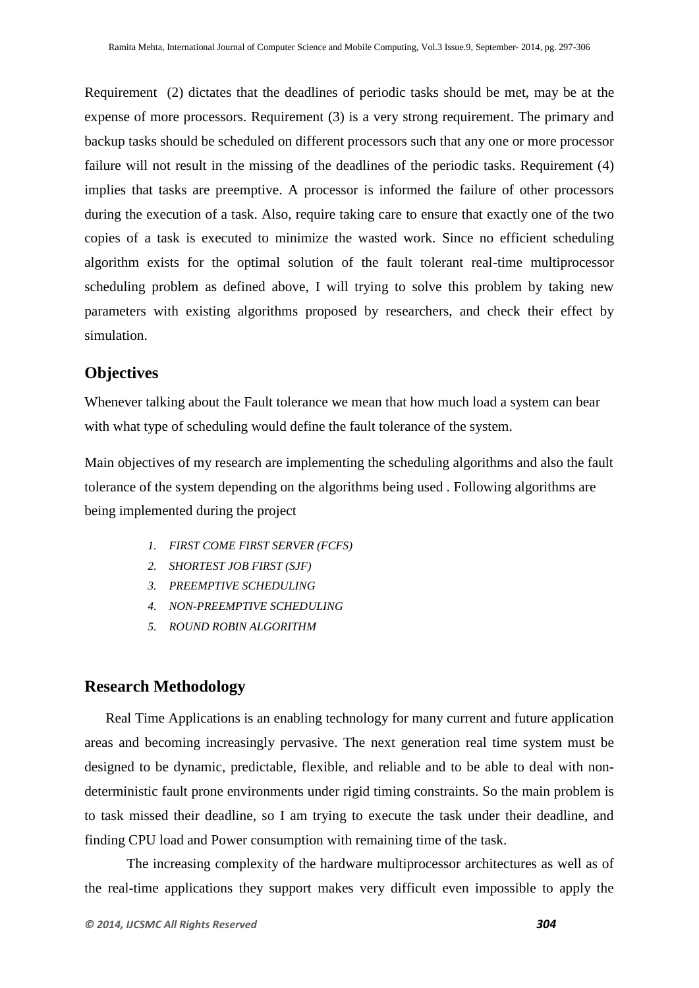Requirement (2) dictates that the deadlines of periodic tasks should be met, may be at the expense of more processors. Requirement (3) is a very strong requirement. The primary and backup tasks should be scheduled on different processors such that any one or more processor failure will not result in the missing of the deadlines of the periodic tasks. Requirement (4) implies that tasks are preemptive. A processor is informed the failure of other processors during the execution of a task. Also, require taking care to ensure that exactly one of the two copies of a task is executed to minimize the wasted work. Since no efficient scheduling algorithm exists for the optimal solution of the fault tolerant real-time multiprocessor scheduling problem as defined above, I will trying to solve this problem by taking new parameters with existing algorithms proposed by researchers, and check their effect by simulation.

### **Objectives**

Whenever talking about the Fault tolerance we mean that how much load a system can bear with what type of scheduling would define the fault tolerance of the system.

Main objectives of my research are implementing the scheduling algorithms and also the fault tolerance of the system depending on the algorithms being used . Following algorithms are being implemented during the project

- *1. FIRST COME FIRST SERVER (FCFS)*
- *2. SHORTEST JOB FIRST (SJF)*
- *3. PREEMPTIVE SCHEDULING*
- *4. NON-PREEMPTIVE SCHEDULING*
- *5. ROUND ROBIN ALGORITHM*

#### **Research Methodology**

Real Time Applications is an enabling technology for many current and future application areas and becoming increasingly pervasive. The next generation real time system must be designed to be dynamic, predictable, flexible, and reliable and to be able to deal with nondeterministic fault prone environments under rigid timing constraints. So the main problem is to task missed their deadline, so I am trying to execute the task under their deadline, and finding CPU load and Power consumption with remaining time of the task.

The increasing complexity of the hardware multiprocessor architectures as well as of the real-time applications they support makes very difficult even impossible to apply the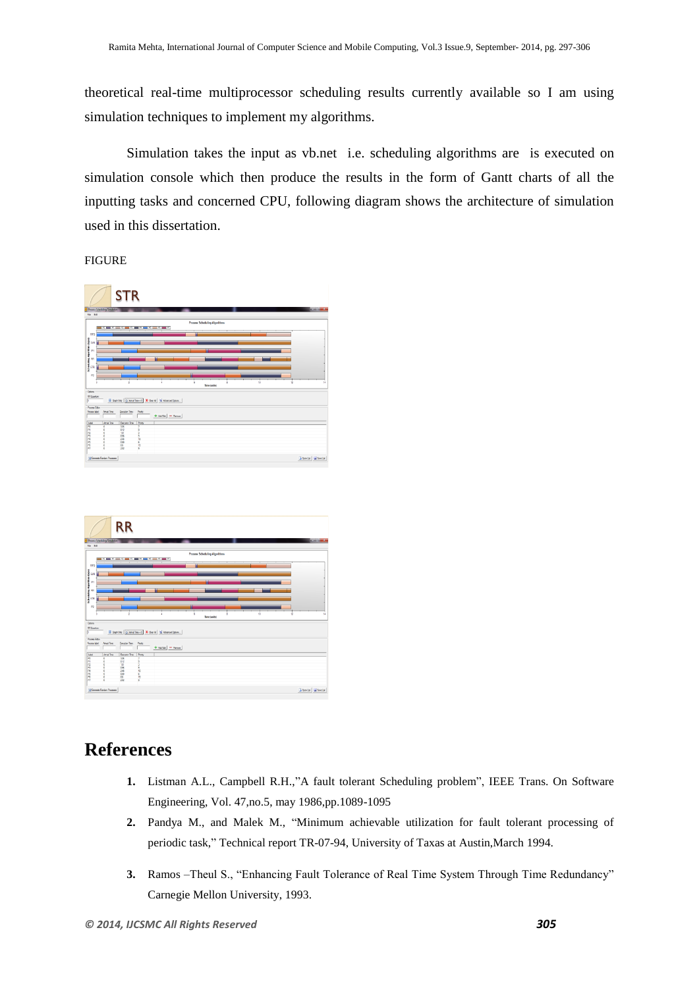theoretical real-time multiprocessor scheduling results currently available so I am using simulation techniques to implement my algorithms.

Simulation takes the input as vb.net i.e. scheduling algorithms are is executed on simulation console which then produce the results in the form of Gantt charts of all the inputting tasks and concerned CPU, following diagram shows the architecture of simulation used in this dissertation.

#### FIGURE

|                                              | Process Scheduling Smulation | <b>STR</b>    |                   |                                                                    |  |                                      |  |    |    | <b>REAL PROPERTY</b>   |
|----------------------------------------------|------------------------------|---------------|-------------------|--------------------------------------------------------------------|--|--------------------------------------|--|----|----|------------------------|
| File Edit                                    |                              |               |                   |                                                                    |  |                                      |  |    |    |                        |
|                                              |                              |               |                   |                                                                    |  | <b>Process Schodeling Algorithms</b> |  |    |    |                        |
| FF <sub>0</sub>                              |                              |               |                   |                                                                    |  |                                      |  |    |    |                        |
|                                              |                              |               |                   |                                                                    |  |                                      |  |    |    |                        |
| School Agostina (Pyre)<br>일 - 모 - 모<br>있 - 모 |                              |               |                   |                                                                    |  |                                      |  |    |    |                        |
|                                              |                              |               |                   |                                                                    |  |                                      |  |    |    |                        |
|                                              |                              |               |                   |                                                                    |  |                                      |  |    |    |                        |
|                                              |                              |               |                   |                                                                    |  |                                      |  |    |    |                        |
|                                              |                              |               |                   |                                                                    |  |                                      |  |    |    |                        |
| P <sub>2</sub>                               |                              |               |                   |                                                                    |  |                                      |  |    |    |                        |
|                                              |                              |               |                   |                                                                    |  | Time (units)                         |  | 10 | 12 | 54                     |
|                                              |                              |               |                   |                                                                    |  |                                      |  |    |    |                        |
| Odors<br>RRQuestur                           |                              |               |                   |                                                                    |  |                                      |  |    |    |                        |
| <b>Process Editor</b>                        |                              |               |                   | Graph Ody   Gil Ameri Time + 0   X Over Al   ftel Adverced Options |  |                                      |  |    |    |                        |
|                                              | Arval Time                   | Eventon Time: | Proty             | $+$ AloTak $-$ Penove                                              |  |                                      |  |    |    |                        |
|                                              | Art of Time                  | Executor Time | Prom <sub>b</sub> |                                                                    |  |                                      |  |    |    |                        |
|                                              | n                            | 3.36<br>412   |                   |                                                                    |  |                                      |  |    |    |                        |
|                                              | n                            | ĩΰ            |                   |                                                                    |  |                                      |  |    |    |                        |
|                                              | ö<br>ô                       | 18            | 9                 |                                                                    |  |                                      |  |    |    |                        |
|                                              | ö                            | 246<br>0.99   | Ĥ,<br>ï           |                                                                    |  |                                      |  |    |    |                        |
| Process label<br>Level<br><b>跨科控约科特格拉</b>    | o<br>ò                       | 86<br>282     | îs<br>٠           |                                                                    |  |                                      |  |    |    |                        |
|                                              | Generate Fundam Processes    |               |                   |                                                                    |  |                                      |  |    |    | Giovante: del Savette: |

|                                             | Process Scheduling Simulation | <b>RR</b>             |          |                                                                    |   |                                      |  |    |    |                        | <b>REAL PROPERTY</b> |
|---------------------------------------------|-------------------------------|-----------------------|----------|--------------------------------------------------------------------|---|--------------------------------------|--|----|----|------------------------|----------------------|
| File Edit                                   |                               |                       |          |                                                                    |   |                                      |  |    |    |                        |                      |
|                                             |                               |                       |          | - 2 - 2 - 2 - 2 - 2 - 2 - 2 - 2                                    |   | <b>Process Schodeling Algorithms</b> |  |    |    |                        |                      |
| FF0                                         |                               |                       |          |                                                                    | ٠ |                                      |  |    |    |                        |                      |
|                                             |                               |                       |          |                                                                    |   |                                      |  |    |    |                        |                      |
| Pethodologue physical Research<br>이 모드 프로그램 |                               |                       |          |                                                                    |   |                                      |  |    |    |                        |                      |
|                                             |                               |                       |          |                                                                    |   |                                      |  |    |    |                        |                      |
|                                             |                               |                       |          |                                                                    |   |                                      |  |    |    |                        |                      |
|                                             |                               |                       |          |                                                                    |   |                                      |  |    |    |                        |                      |
|                                             |                               |                       |          |                                                                    |   |                                      |  |    |    |                        |                      |
| P <sub>2</sub>                              |                               |                       |          |                                                                    |   |                                      |  | -- |    |                        |                      |
|                                             |                               |                       |          |                                                                    |   | Time (units)                         |  | 10 | 12 |                        | 54                   |
| Odors                                       |                               |                       |          |                                                                    |   |                                      |  |    |    |                        |                      |
| <b>RRG</b> antum                            |                               |                       |          | Graph Ody   Gil Ameri Time + 0   X Over Al   ftel Adverced Options |   |                                      |  |    |    |                        |                      |
| <b>Process Editor</b>                       |                               |                       |          |                                                                    |   |                                      |  |    |    |                        |                      |
| Process label:                              | Anyd Time:                    | Eventon Time:         | Priority |                                                                    |   |                                      |  |    |    |                        |                      |
|                                             |                               |                       |          | $+$ Ab Edi $-$ Fanous                                              |   |                                      |  |    |    |                        |                      |
| Libel                                       | Art of Time<br>n              | Executor Time<br>3.36 | Prom     |                                                                    |   |                                      |  |    |    |                        |                      |
|                                             |                               | 412                   |          |                                                                    |   |                                      |  |    |    |                        |                      |
|                                             | f<br>ö                        | $\frac{15}{48}$       |          |                                                                    |   |                                      |  |    |    |                        |                      |
|                                             |                               | 246                   | ۹<br>Ĥ,  |                                                                    |   |                                      |  |    |    |                        |                      |
|                                             | ö                             | 639                   | ï        |                                                                    |   |                                      |  |    |    |                        |                      |
|                                             | ö                             | ĸ                     | îs.      |                                                                    |   |                                      |  |    |    |                        |                      |
|                                             |                               | 282                   | ś        |                                                                    |   |                                      |  |    |    |                        |                      |
|                                             | Generate Rendom Processes     |                       |          |                                                                    |   |                                      |  |    |    | Giovante: del Savette: |                      |

## **References**

- **1.** Listman A.L., Campbell R.H.,"A fault tolerant Scheduling problem", IEEE Trans. On Software Engineering, Vol. 47,no.5, may 1986,pp.1089-1095
- **2.** Pandya M., and Malek M., "Minimum achievable utilization for fault tolerant processing of periodic task," Technical report TR-07-94, University of Taxas at Austin,March 1994.
- **3.** Ramos –Theul S., "Enhancing Fault Tolerance of Real Time System Through Time Redundancy" Carnegie Mellon University, 1993.